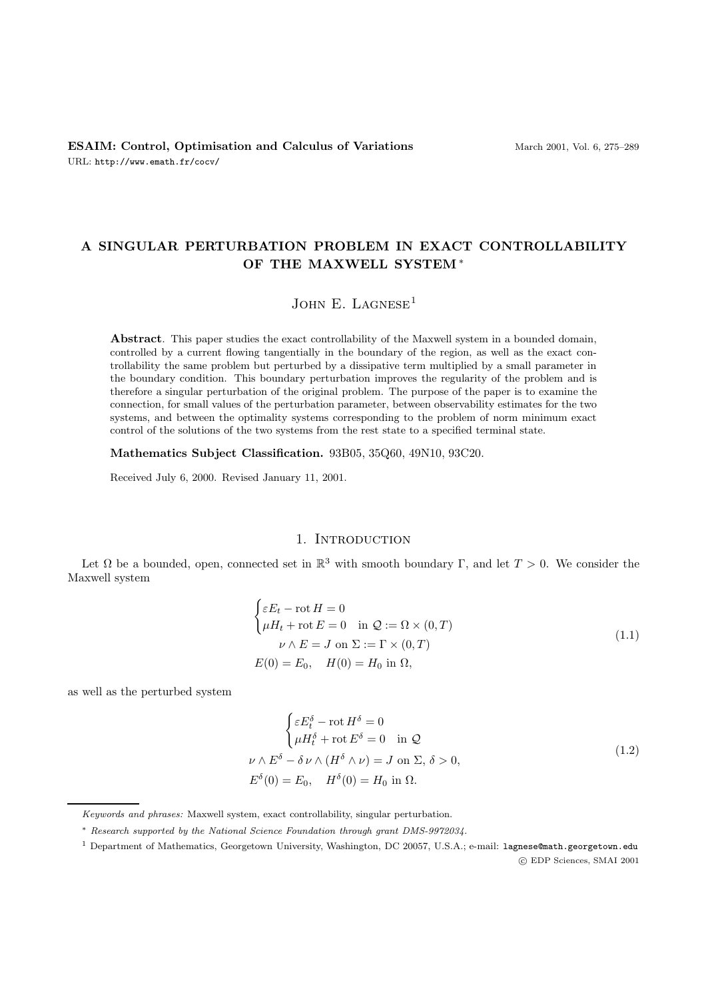# **A SINGULAR PERTURBATION PROBLEM IN EXACT CONTROLLABILITY OF THE MAXWELL SYSTEM**∗

### JOHN E. LAGNESE<sup>1</sup>

**Abstract**. This paper studies the exact controllability of the Maxwell system in a bounded domain, controlled by a current flowing tangentially in the boundary of the region, as well as the exact controllability the same problem but perturbed by a dissipative term multiplied by a small parameter in the boundary condition. This boundary perturbation improves the regularity of the problem and is therefore a singular perturbation of the original problem. The purpose of the paper is to examine the connection, for small values of the perturbation parameter, between observability estimates for the two systems, and between the optimality systems corresponding to the problem of norm minimum exact control of the solutions of the two systems from the rest state to a specified terminal state.

**Mathematics Subject Classification.** 93B05, 35Q60, 49N10, 93C20.

Received July 6, 2000. Revised January 11, 2001.

### 1. INTRODUCTION

Let  $\Omega$  be a bounded, open, connected set in  $\mathbb{R}^3$  with smooth boundary Γ, and let  $T > 0$ . We consider the Maxwell system

$$
\begin{cases}\n\varepsilon E_t - \text{rot } H = 0 \\
\mu H_t + \text{rot } E = 0 \quad \text{in } \mathcal{Q} := \Omega \times (0, T) \\
\nu \wedge E = J \text{ on } \Sigma := \Gamma \times (0, T) \\
E(0) = E_0, \quad H(0) = H_0 \text{ in } \Omega,\n\end{cases}
$$
\n(1.1)

as well as the perturbed system

$$
\begin{cases} \varepsilon E_t^{\delta} - \text{rot } H^{\delta} = 0 \\ \mu H_t^{\delta} + \text{rot } E^{\delta} = 0 \quad \text{in } \mathcal{Q} \end{cases}
$$
  

$$
\nu \wedge E^{\delta} - \delta \nu \wedge (H^{\delta} \wedge \nu) = J \text{ on } \Sigma, \delta > 0,
$$
  

$$
E^{\delta}(0) = E_0, \quad H^{\delta}(0) = H_0 \text{ in } \Omega.
$$
 (1.2)

Keywords and phrases: Maxwell system, exact controllability, singular perturbation.

<sup>∗</sup> Research supported by the National Science Foundation through grant DMS-9972034.

<sup>1</sup> Department of Mathematics, Georgetown University, Washington, DC 20057, U.S.A.; e-mail: lagnese@math.georgetown.edu c EDP Sciences, SMAI 2001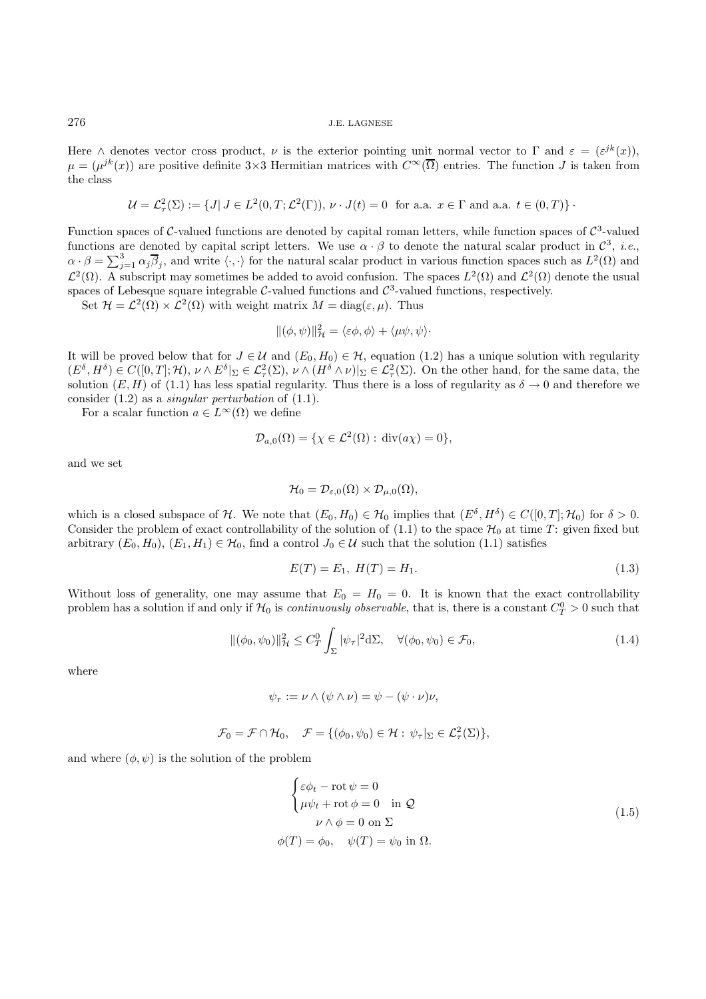Here  $\wedge$  denotes vector cross product,  $\nu$  is the exterior pointing unit normal vector to  $\Gamma$  and  $\varepsilon = (\varepsilon^{jk}(x))$ ,  $\mu = (\mu^{jk}(x))$  are positive definite 3×3 Hermitian matrices with  $C^{\infty}(\overline{\Omega})$  entries. The function J is taken from the class

$$
\mathcal{U} = \mathcal{L}^2_\tau(\Sigma) := \{ J | J \in L^2(0, T; \mathcal{L}^2(\Gamma)), \nu \cdot J(t) = 0 \text{ for a.a. } x \in \Gamma \text{ and a.a. } t \in (0, T) \}.
$$

Function spaces of  $C$ -valued functions are denoted by capital roman letters, while function spaces of  $C^3$ -valued functions are denoted by capital script letters. We use  $\alpha \cdot \beta$  to denote the natural scalar product in  $\mathcal{C}^3$ , *i.e.*,  $\alpha \cdot \beta = \sum_{j=1}^3 \alpha_j \overline{\beta}_j$ , and write  $\langle \cdot, \cdot \rangle$  for the natural scalar product in various function spaces such as  $L^2(\Omega)$  and  $\mathcal{L}^2(\Omega)$ . A subscript may sometimes be added to avoid confusion. The spaces  $L^2(\Omega)$  and  $\mathcal{L}^2(\Omega)$  denote the usual spaces of Lebesque square integrable  $C$ -valued functions and  $C^3$ -valued functions, respectively.

Set  $\mathcal{H} = \mathcal{L}^2(\Omega) \times \mathcal{L}^2(\Omega)$  with weight matrix  $M = \text{diag}(\varepsilon, \mu)$ . Thus

$$
\|(\phi,\psi)\|_{\mathcal{H}}^2 = \langle \varepsilon\phi,\phi\rangle + \langle \mu\psi,\psi\rangle
$$

It will be proved below that for  $J \in \mathcal{U}$  and  $(E_0, H_0) \in \mathcal{H}$ , equation (1.2) has a unique solution with regularity  $(E^{\delta}, H^{\delta}) \in C([0,T]; \mathcal{H}), \nu \wedge E^{\delta}|_{\Sigma} \in \mathcal{L}_{\tau}^{2}(\Sigma), \nu \wedge (H^{\delta} \wedge \nu)|_{\Sigma} \in \mathcal{L}_{\tau}^{2}(\Sigma)$ . On the other hand, for the same data, the solution  $(E, H)$  of (1.1) has less spatial regularity. Thus there is a loss of regularity as  $\delta \to 0$  and therefore we consider  $(1.2)$  as a *singular perturbation* of  $(1.1)$ .

For a scalar function  $a \in L^{\infty}(\Omega)$  we define

$$
\mathcal{D}_{a,0}(\Omega) = \{ \chi \in \mathcal{L}^2(\Omega) : \operatorname{div}(a\chi) = 0 \},
$$

and we set

$$
\mathcal{H}_0=\mathcal{D}_{\varepsilon,0}(\Omega)\times \mathcal{D}_{\mu,0}(\Omega),
$$

which is a closed subspace of H. We note that  $(E_0, H_0) \in \mathcal{H}_0$  implies that  $(E^{\delta}, H^{\delta}) \in C([0, T]; \mathcal{H}_0)$  for  $\delta > 0$ . Consider the problem of exact controllability of the solution of  $(1.1)$  to the space  $\mathcal{H}_0$  at time T: given fixed but arbitrary  $(E_0, H_0)$ ,  $(E_1, H_1) \in \mathcal{H}_0$ , find a control  $J_0 \in \mathcal{U}$  such that the solution (1.1) satisfies

$$
E(T) = E_1, H(T) = H_1.
$$
\n(1.3)

Without loss of generality, one may assume that  $E_0 = H_0 = 0$ . It is known that the exact controllability problem has a solution if and only if  $\mathcal{H}_0$  is *continuously observable*, that is, there is a constant  $C_T^0 > 0$  such that

$$
\|(\phi_0, \psi_0)\|_{\mathcal{H}}^2 \le C_T^0 \int_{\Sigma} |\psi_\tau|^2 d\Sigma, \quad \forall (\phi_0, \psi_0) \in \mathcal{F}_0,
$$
\n(1.4)

where

$$
\psi_{\tau} := \nu \wedge (\psi \wedge \nu) = \psi - (\psi \cdot \nu)\nu,
$$

$$
\mathcal{F}_0 = \mathcal{F} \cap \mathcal{H}_0, \quad \mathcal{F} = \{ (\phi_0, \psi_0) \in \mathcal{H} : \psi_\tau|_{\Sigma} \in \mathcal{L}^2_\tau(\Sigma) \},
$$

and where  $(\phi, \psi)$  is the solution of the problem

$$
\begin{cases}\n\varepsilon \phi_t - \text{rot}\,\psi = 0 \\
\mu \psi_t + \text{rot}\,\phi = 0 \quad \text{in } \mathcal{Q} \\
\nu \wedge \phi = 0 \text{ on } \Sigma\n\end{cases}
$$
\n
$$
\phi(T) = \phi_0, \quad \psi(T) = \psi_0 \text{ in } \Omega.
$$
\n(1.5)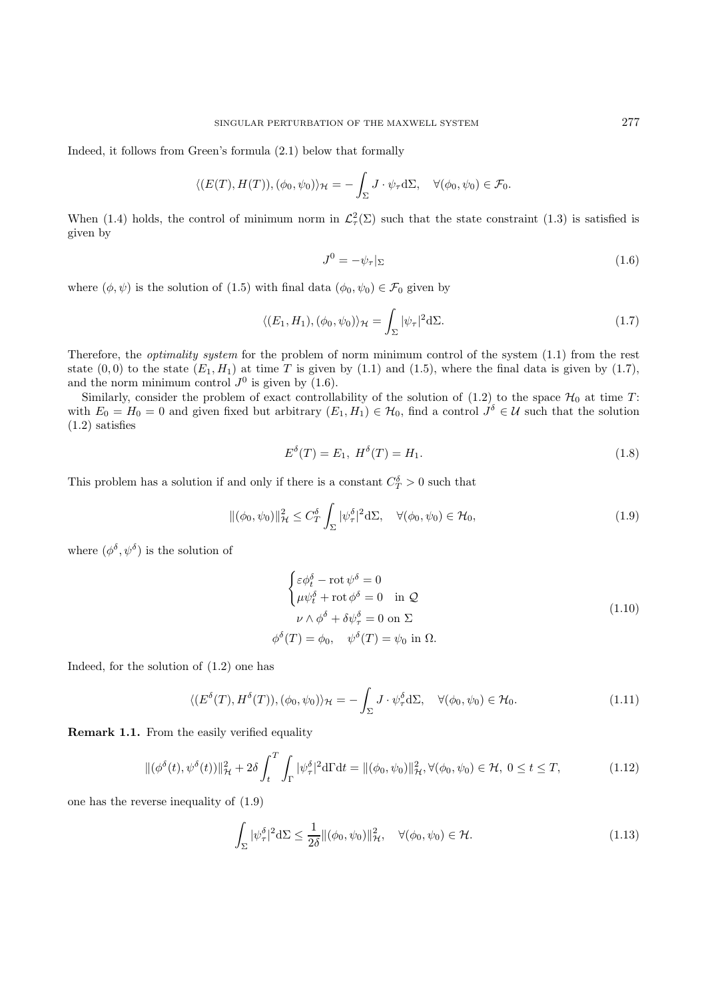Indeed, it follows from Green's formula (2.1) below that formally

$$
\langle (E(T), H(T)), (\phi_0, \psi_0) \rangle_{\mathcal{H}} = -\int_{\Sigma} J \cdot \psi_{\tau} d\Sigma, \quad \forall (\phi_0, \psi_0) \in \mathcal{F}_0.
$$

When (1.4) holds, the control of minimum norm in  $\mathcal{L}^2_\tau(\Sigma)$  such that the state constraint (1.3) is satisfied is given by

$$
J^0 = -\psi_\tau|_\Sigma \tag{1.6}
$$

where  $(\phi, \psi)$  is the solution of (1.5) with final data  $(\phi_0, \psi_0) \in \mathcal{F}_0$  given by

$$
\langle (E_1, H_1), (\phi_0, \psi_0) \rangle_{\mathcal{H}} = \int_{\Sigma} |\psi_{\tau}|^2 d\Sigma.
$$
 (1.7)

Therefore, the *optimality system* for the problem of norm minimum control of the system  $(1.1)$  from the rest state  $(0,0)$  to the state  $(E_1, H_1)$  at time T is given by (1.1) and (1.5), where the final data is given by (1.7), and the norm minimum control  $J^0$  is given by (1.6).

Similarly, consider the problem of exact controllability of the solution of  $(1.2)$  to the space  $\mathcal{H}_0$  at time T: with  $E_0 = H_0 = 0$  and given fixed but arbitrary  $(E_1, H_1) \in \mathcal{H}_0$ , find a control  $J^{\delta} \in \mathcal{U}$  such that the solution (1.2) satisfies

$$
E^{\delta}(T) = E_1, H^{\delta}(T) = H_1.
$$
\n(1.8)

This problem has a solution if and only if there is a constant  $C_T^{\delta} > 0$  such that

$$
\|(\phi_0, \psi_0)\|_{\mathcal{H}}^2 \le C_T^{\delta} \int_{\Sigma} |\psi_\tau^{\delta}|^2 d\Sigma, \quad \forall (\phi_0, \psi_0) \in \mathcal{H}_0,
$$
\n(1.9)

where  $(\phi^{\delta}, \psi^{\delta})$  is the solution of

$$
\begin{cases}\n\varepsilon \phi_t^{\delta} - \text{rot } \psi^{\delta} = 0 \\
\mu \psi_t^{\delta} + \text{rot } \phi^{\delta} = 0 \quad \text{in } \mathcal{Q} \\
\nu \wedge \phi^{\delta} + \delta \psi_\tau^{\delta} = 0 \text{ on } \Sigma\n\end{cases}
$$
\n
$$
\phi^{\delta}(T) = \phi_0, \quad \psi^{\delta}(T) = \psi_0 \text{ in } \Omega.
$$
\n(1.10)

Indeed, for the solution of (1.2) one has

$$
\langle (E^{\delta}(T), H^{\delta}(T)), (\phi_0, \psi_0) \rangle_{\mathcal{H}} = -\int_{\Sigma} J \cdot \psi_{\tau}^{\delta} d\Sigma, \quad \forall (\phi_0, \psi_0) \in \mathcal{H}_0.
$$
 (1.11)

**Remark 1.1.** From the easily verified equality

$$
\|(\phi^{\delta}(t), \psi^{\delta}(t))\|_{\mathcal{H}}^2 + 2\delta \int_t^T \int_{\Gamma} |\psi^{\delta}_\tau|^2 d\Gamma dt = \|(\phi_0, \psi_0)\|_{\mathcal{H}}^2, \forall (\phi_0, \psi_0) \in \mathcal{H}, 0 \le t \le T,
$$
\n(1.12)

one has the reverse inequality of (1.9)

$$
\int_{\Sigma} |\psi_{\tau}^{\delta}|^2 d\Sigma \le \frac{1}{2\delta} \|(\phi_0, \psi_0)\|_{\mathcal{H}}^2, \quad \forall (\phi_0, \psi_0) \in \mathcal{H}.
$$
\n(1.13)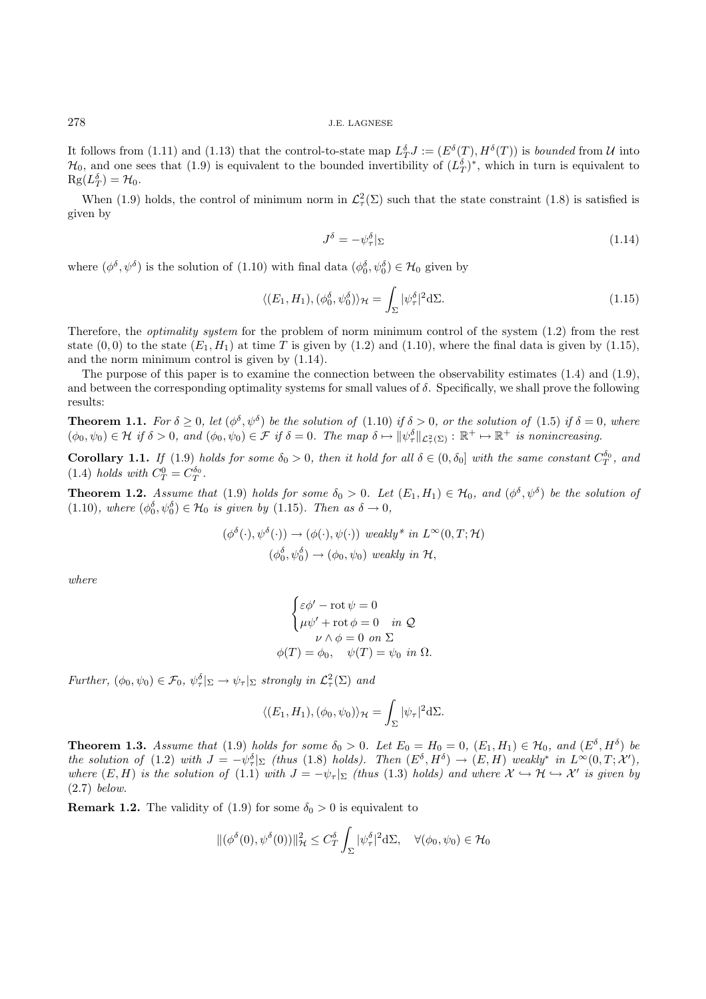It follows from (1.11) and (1.13) that the control-to-state map  $L_T^{\delta}J := (E^{\delta}(T), H^{\delta}(T))$  is *bounded* from U into  $\mathcal{H}_0$ , and one sees that (1.9) is equivalent to the bounded invertibility of  $(L_T^{\delta})^*$ , which in turn is equivalent to  $\text{Rg}(L_T^{\delta}) = \mathcal{H}_0.$ 

When (1.9) holds, the control of minimum norm in  $\mathcal{L}^2(\Sigma)$  such that the state constraint (1.8) is satisfied is given by

$$
J^{\delta} = -\psi_{\tau}^{\delta}|_{\Sigma} \tag{1.14}
$$

where  $(\phi^{\delta}, \psi^{\delta})$  is the solution of  $(1.10)$  with final data  $(\phi_0^{\delta}, \psi_0^{\delta}) \in \mathcal{H}_0$  given by

$$
\langle (E_1, H_1), (\phi_0^{\delta}, \psi_0^{\delta}) \rangle_{\mathcal{H}} = \int_{\Sigma} |\psi_{\tau}^{\delta}|^2 d\Sigma.
$$
 (1.15)

Therefore, the optimality system for the problem of norm minimum control of the system (1.2) from the rest state  $(0,0)$  to the state  $(E_1, H_1)$  at time T is given by (1.2) and (1.10), where the final data is given by (1.15), and the norm minimum control is given by (1.14).

The purpose of this paper is to examine the connection between the observability estimates (1.4) and (1.9), and between the corresponding optimality systems for small values of  $\delta$ . Specifically, we shall prove the following results:

**Theorem 1.1.** For  $\delta \geq 0$ , let  $(\phi^{\delta}, \psi^{\delta})$  be the solution of (1.10) if  $\delta > 0$ , or the solution of (1.5) if  $\delta = 0$ , where  $(\phi_0, \psi_0) \in \mathcal{H}$  if  $\delta > 0$ , and  $(\phi_0, \psi_0) \in \mathcal{F}$  if  $\delta = 0$ . The map  $\delta \mapsto \|\psi_\tau^{\delta}\|_{\mathcal{L}^2_{\tau}(\Sigma)} : \mathbb{R}^+ \mapsto \mathbb{R}^+$  is nonincreasing.

**Corollary 1.1.** If (1.9) holds for some  $\delta_0 > 0$ , then it hold for all  $\delta \in (0, \delta_0]$  with the same constant  $C_T^{\delta_0}$ , and (1.4) holds with  $C_T^0 = C_T^{\delta_0}$ .

**Theorem 1.2.** Assume that (1.9) holds for some  $\delta_0 > 0$ . Let  $(E_1, H_1) \in \mathcal{H}_0$ , and  $(\phi^{\delta}, \psi^{\delta})$  be the solution of (1.10), where  $(\phi_0^{\delta}, \psi_0^{\delta}) \in \mathcal{H}_0$  is given by (1.15). Then as  $\delta \to 0$ ,

$$
(\phi^{\delta}(\cdot), \psi^{\delta}(\cdot)) \to (\phi(\cdot), \psi(\cdot)) \text{ weakly* in } L^{\infty}(0, T; \mathcal{H})
$$
  

$$
(\phi_0^{\delta}, \psi_0^{\delta}) \to (\phi_0, \psi_0) \text{ weakly in } \mathcal{H},
$$

where

$$
\begin{cases} \varepsilon \phi' - \text{rot } \psi = 0 \\ \mu \psi' + \text{rot } \phi = 0 \quad in \ \mathcal{Q} \\ \nu \wedge \phi = 0 \text{ on } \Sigma \\ \phi(T) = \phi_0, \quad \psi(T) = \psi_0 \text{ in } \Omega. \end{cases}
$$

Further,  $(\phi_0, \psi_0) \in \mathcal{F}_0$ ,  $\psi_\tau^{\delta}|_{\Sigma} \to \psi_\tau|_{\Sigma}$  strongly in  $\mathcal{L}^2_\tau(\Sigma)$  and

$$
\langle (E_1, H_1), (\phi_0, \psi_0) \rangle_{\mathcal{H}} = \int_{\Sigma} |\psi_{\tau}|^2 d\Sigma.
$$

**Theorem 1.3.** Assume that (1.9) holds for some  $\delta_0 > 0$ . Let  $E_0 = H_0 = 0$ ,  $(E_1, H_1) \in \mathcal{H}_0$ , and  $(E^{\delta}, H^{\delta})$  be the solution of (1.2) with  $J = -\psi_{\tau}^{\delta} |_{\Sigma}$  (thus (1.8) holds). Then  $(E^{\delta}, H^{\delta}) \to (E, H)$  weakly<sup>\*</sup> in  $L^{\infty}(0,T; \mathcal{X}')$ , where  $(E, H)$  is the solution of (1.1) with  $J = -\psi_{\tau}|_{\Sigma}$  (thus (1.3) holds) and where  $\mathcal{X} \hookrightarrow \mathcal{H} \hookrightarrow \mathcal{X}'$  is given by (2.7) below.

**Remark 1.2.** The validity of (1.9) for some  $\delta_0 > 0$  is equivalent to

$$
\|(\phi^{\delta}(0),\psi^{\delta}(0))\|_{\mathcal{H}}^2 \leq C_T^{\delta} \int_{\Sigma} |\psi_{\tau}^{\delta}|^2 d\Sigma, \quad \forall (\phi_0,\psi_0) \in \mathcal{H}_0
$$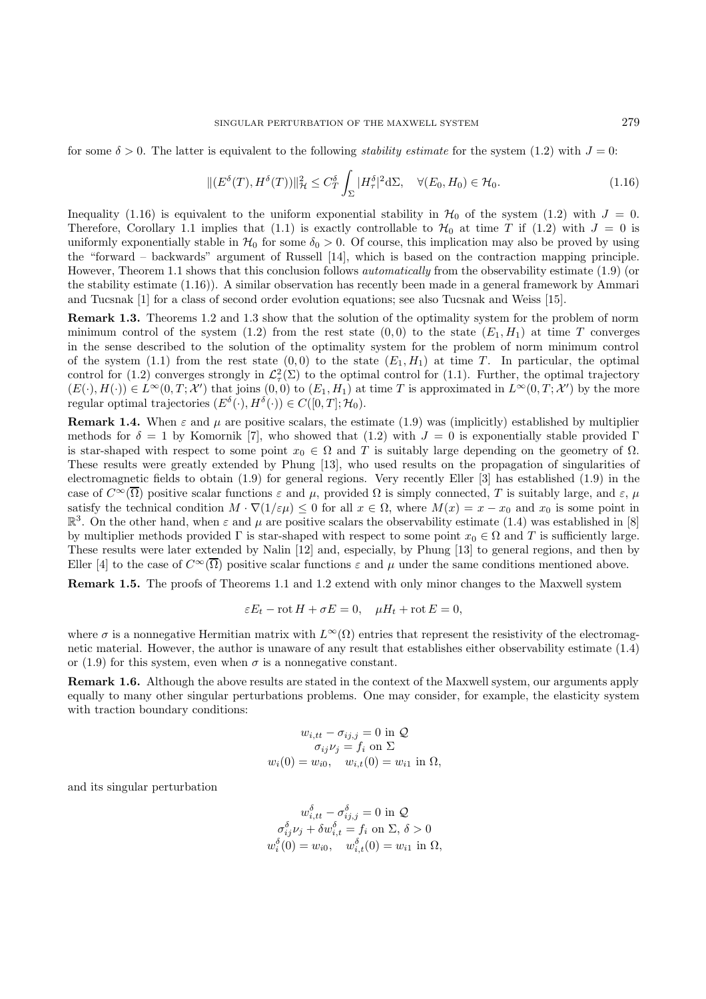for some  $\delta > 0$ . The latter is equivalent to the following *stability estimate* for the system (1.2) with  $J = 0$ :

$$
\|(E^{\delta}(T),H^{\delta}(T))\|_{\mathcal{H}}^2 \le C_T^{\delta} \int_{\Sigma} |H_{\tau}^{\delta}|^2 d\Sigma, \quad \forall (E_0,H_0) \in \mathcal{H}_0.
$$
\n(1.16)

Inequality (1.16) is equivalent to the uniform exponential stability in  $\mathcal{H}_0$  of the system (1.2) with  $J = 0$ . Therefore, Corollary 1.1 implies that (1.1) is exactly controllable to  $\mathcal{H}_0$  at time T if (1.2) with  $J = 0$  is uniformly exponentially stable in  $\mathcal{H}_0$  for some  $\delta_0 > 0$ . Of course, this implication may also be proved by using the "forward – backwards" argument of Russell [14], which is based on the contraction mapping principle. However, Theorem 1.1 shows that this conclusion follows automatically from the observability estimate (1.9) (or the stability estimate (1.16)). A similar observation has recently been made in a general framework by Ammari and Tucsnak [1] for a class of second order evolution equations; see also Tucsnak and Weiss [15].

**Remark 1.3.** Theorems 1.2 and 1.3 show that the solution of the optimality system for the problem of norm minimum control of the system (1.2) from the rest state  $(0,0)$  to the state  $(E_1, H_1)$  at time T converges in the sense described to the solution of the optimality system for the problem of norm minimum control of the system (1.1) from the rest state  $(0,0)$  to the state  $(E_1, H_1)$  at time T. In particular, the optimal control for (1.2) converges strongly in  $\mathcal{L}^2_\tau(\Sigma)$  to the optimal control for (1.1). Further, the optimal trajectory  $(E(\cdot), H(\cdot)) \in L^{\infty}(0,T; \mathcal{X}')$  that joins  $(0,0)$  to  $(E_1, H_1)$  at time T is approximated in  $L^{\infty}(0,T; \mathcal{X}')$  by the more regular optimal trajectories  $(E^{\delta}(\cdot), H^{\delta}(\cdot)) \in C([0, T]; \mathcal{H}_0)$ .

**Remark 1.4.** When  $\varepsilon$  and  $\mu$  are positive scalars, the estimate (1.9) was (implicitly) established by multiplier methods for  $\delta = 1$  by Komornik [7], who showed that (1.2) with  $J = 0$  is exponentially stable provided Γ is star-shaped with respect to some point  $x_0 \in \Omega$  and T is suitably large depending on the geometry of  $\Omega$ . These results were greatly extended by Phung [13], who used results on the propagation of singularities of electromagnetic fields to obtain (1.9) for general regions. Very recently Eller [3] has established (1.9) in the case of  $C^{\infty}(\overline{\Omega})$  positive scalar functions  $\varepsilon$  and  $\mu$ , provided  $\Omega$  is simply connected, T is suitably large, and  $\varepsilon$ ,  $\mu$ satisfy the technical condition  $M \cdot \nabla(1/\varepsilon \mu) \leq 0$  for all  $x \in \Omega$ , where  $M(x) = x - x_0$  and  $x_0$  is some point in  $\mathbb{R}^3$ . On the other hand, when  $\varepsilon$  and  $\mu$  are positive scalars the observability estimate (1.4) was established in [8] by multiplier methods provided  $\Gamma$  is star-shaped with respect to some point  $x_0 \in \Omega$  and T is sufficiently large. These results were later extended by Nalin [12] and, especially, by Phung [13] to general regions, and then by Eller [4] to the case of  $C^{\infty}(\overline{\Omega})$  positive scalar functions  $\varepsilon$  and  $\mu$  under the same conditions mentioned above.

**Remark 1.5.** The proofs of Theorems 1.1 and 1.2 extend with only minor changes to the Maxwell system

$$
\varepsilon E_t - \operatorname{rot} H + \sigma E = 0, \quad \mu H_t + \operatorname{rot} E = 0,
$$

where  $\sigma$  is a nonnegative Hermitian matrix with  $L^{\infty}(\Omega)$  entries that represent the resistivity of the electromagnetic material. However, the author is unaware of any result that establishes either observability estimate (1.4) or (1.9) for this system, even when  $\sigma$  is a nonnegative constant.

**Remark 1.6.** Although the above results are stated in the context of the Maxwell system, our arguments apply equally to many other singular perturbations problems. One may consider, for example, the elasticity system with traction boundary conditions:

$$
w_{i,tt} - \sigma_{ij,j} = 0 \text{ in } \mathcal{Q}
$$

$$
\sigma_{ij} \nu_j = f_i \text{ on } \Sigma
$$

$$
w_i(0) = w_{i0}, \quad w_{i,t}(0) = w_{i1} \text{ in } \Omega,
$$

and its singular perturbation

$$
w_{i,tt}^{\delta} - \sigma_{ij,j}^{\delta} = 0 \text{ in } \mathcal{Q}
$$

$$
\sigma_{ij}^{\delta} \nu_j + \delta w_{i,t}^{\delta} = f_i \text{ on } \Sigma, \delta > 0
$$

$$
w_i^{\delta}(0) = w_{i0}, \quad w_{i,t}^{\delta}(0) = w_{i1} \text{ in } \Omega,
$$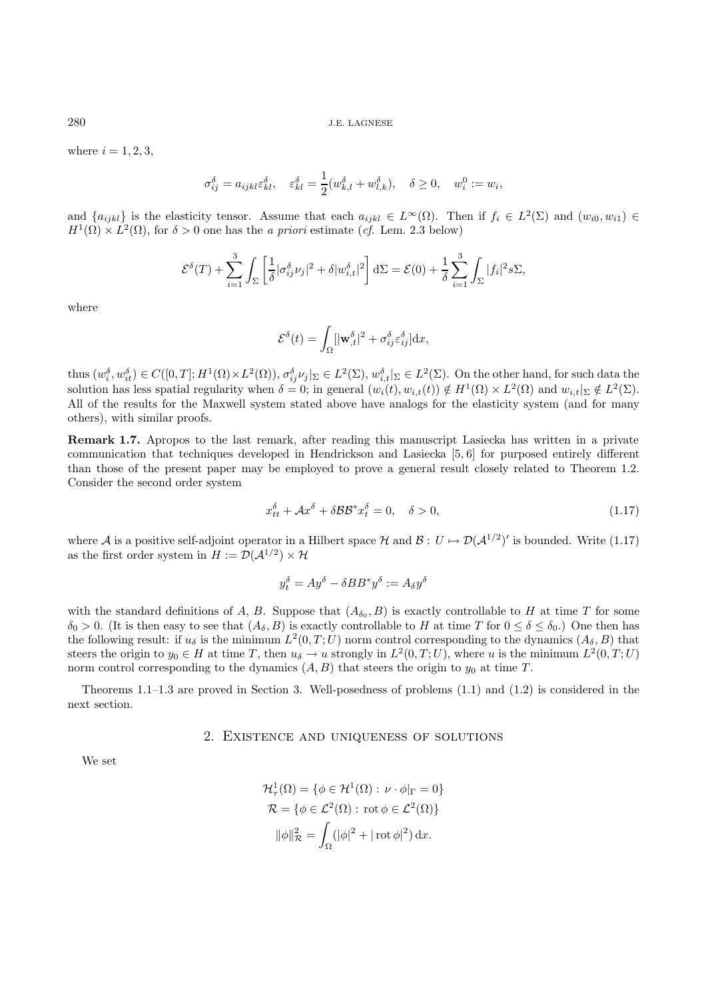280 J.E. LAGNESE

where  $i = 1, 2, 3$ ,

$$
\sigma_{ij}^{\delta} = a_{ijkl}\varepsilon_{kl}^{\delta}, \quad \varepsilon_{kl}^{\delta} = \frac{1}{2}(w_{k,l}^{\delta} + w_{l,k}^{\delta}), \quad \delta \ge 0, \quad w_i^0 := w_i,
$$

and  $\{a_{ijkl}\}\$ is the elasticity tensor. Assume that each  $a_{ijkl} \in L^{\infty}(\Omega)$ . Then if  $f_i \in L^2(\Sigma)$  and  $(w_{i0}, w_{i1}) \in$  $H^1(\Omega) \times L^2(\Omega)$ , for  $\delta > 0$  one has the *a priori* estimate (*cf.* Lem. 2.3 below)

$$
\mathcal{E}^{\delta}(T) + \sum_{i=1}^{3} \int_{\Sigma} \left[ \frac{1}{\delta} |\sigma_{ij}^{\delta} \nu_j|^2 + \delta |\omega_{i,t}^{\delta}|^2 \right] d\Sigma = \mathcal{E}(0) + \frac{1}{\delta} \sum_{i=1}^{3} \int_{\Sigma} |f_i|^2 s \Sigma,
$$

where

$$
\mathcal{E}^\delta(t)=\int_\Omega[|\mathbf{w}^\delta_{,t}|^2+\sigma^\delta_{ij}\varepsilon^\delta_{ij}]\mathrm{d} x,
$$

 $\text{thus } (w_i^{\delta}, w_{it}^{\delta}) \in C([0,T]; H^1(\Omega) \times L^2(\Omega)), \sigma_{ij}^{\delta} \nu_j|_{\Sigma} \in L^2(\Sigma), w_{i,t}^{\delta}|_{\Sigma} \in L^2(\Sigma).$  On the other hand, for such data the solution has less spatial regularity when  $\delta = 0$ ; in general  $(w_i(t), w_{i,t}(t)) \notin H^1(\Omega) \times L^2(\Omega)$  and  $w_{i,t}|_{\Sigma} \notin L^2(\Sigma)$ . All of the results for the Maxwell system stated above have analogs for the elasticity system (and for many others), with similar proofs.

**Remark 1.7.** Apropos to the last remark, after reading this manuscript Lasiecka has written in a private communication that techniques developed in Hendrickson and Lasiecka [5, 6] for purposed entirely different than those of the present paper may be employed to prove a general result closely related to Theorem 1.2. Consider the second order system

$$
x_{tt}^{\delta} + \mathcal{A}x^{\delta} + \delta \mathcal{B} \mathcal{B}^* x_t^{\delta} = 0, \quad \delta > 0,
$$
\n(1.17)

where A is a positive self-adjoint operator in a Hilbert space H and  $\mathcal{B}: U \mapsto \mathcal{D}(\mathcal{A}^{1/2})'$  is bounded. Write (1.17) as the first order system in  $H := \mathcal{D}(\mathcal{A}^{1/2}) \times \mathcal{H}$ 

$$
y_t^{\delta} = Ay^{\delta} - \delta BB^* y^{\delta} := A_{\delta} y^{\delta}
$$

with the standard definitions of A, B. Suppose that  $(A_{\delta_0}, B)$  is exactly controllable to H at time T for some  $\delta_0 > 0$ . (It is then easy to see that  $(A_\delta, B)$  is exactly controllable to H at time T for  $0 \le \delta \le \delta_0$ .) One then has the following result: if  $u_{\delta}$  is the minimum  $L^2(0,T;U)$  norm control corresponding to the dynamics  $(A_{\delta}, B)$  that steers the origin to  $y_0 \in H$  at time T, then  $u_\delta \to u$  strongly in  $L^2(0,T;U)$ , where u is the minimum  $L^2(0,T;U)$ norm control corresponding to the dynamics  $(A, B)$  that steers the origin to  $y_0$  at time T.

Theorems 1.1–1.3 are proved in Section 3. Well-posedness of problems (1.1) and (1.2) is considered in the next section.

#### 2. Existence and uniqueness of solutions

We set

$$
\mathcal{H}^1_\tau(\Omega) = \{ \phi \in \mathcal{H}^1(\Omega) : \nu \cdot \phi|_{\Gamma} = 0 \}
$$
  

$$
\mathcal{R} = \{ \phi \in \mathcal{L}^2(\Omega) : \text{rot } \phi \in \mathcal{L}^2(\Omega) \}
$$
  

$$
\|\phi\|_{\mathcal{R}}^2 = \int_{\Omega} (|\phi|^2 + |\text{rot } \phi|^2) \, dx.
$$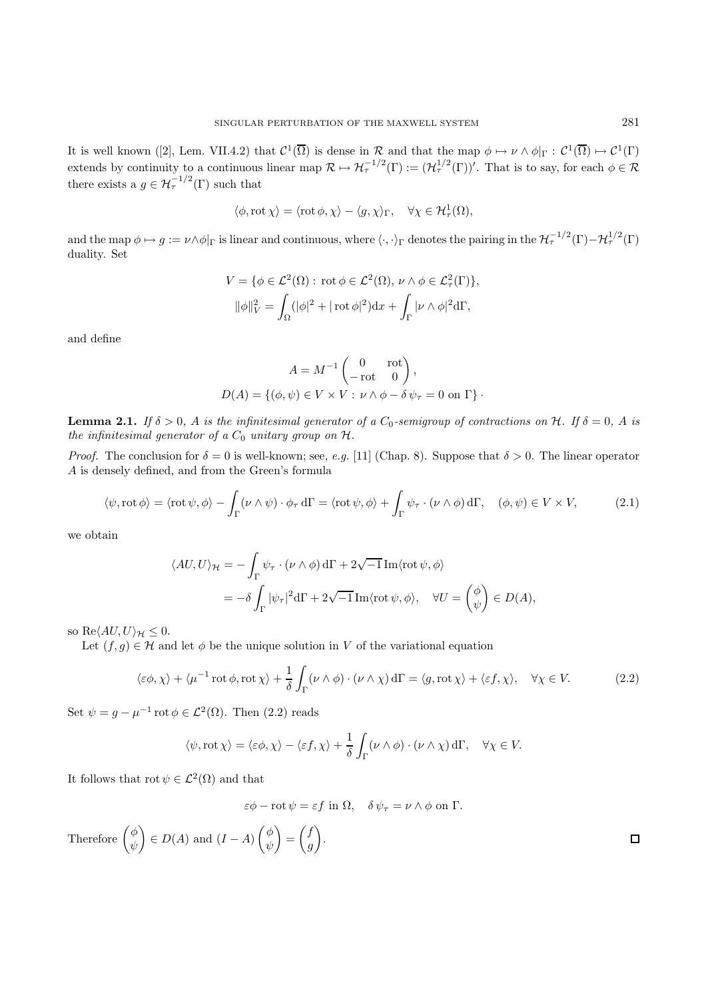It is well known ([2], Lem. VII.4.2) that  $C^1(\overline{\Omega})$  is dense in R and that the map  $\phi \mapsto \nu \wedge \phi|_{\Gamma} : C^1(\overline{\Omega}) \mapsto C^1(\Gamma)$ extends by continuity to a continuous linear map  $\mathcal{R} \mapsto \mathcal{H}_{\tau}^{-1/2}(\Gamma) := (\mathcal{H}_{\tau}^{1/2}(\Gamma))'$ . That is to say, for each  $\phi \in \mathcal{R}$ there exists a  $g \in \mathcal{H}_{\tau}^{-1/2}(\Gamma)$  such that

$$
\langle \phi, \operatorname{rot} \chi \rangle = \langle \operatorname{rot} \phi, \chi \rangle - \langle g, \chi \rangle_{\Gamma}, \quad \forall \chi \in \mathcal{H}^1_\tau(\Omega),
$$

and the map  $\phi \mapsto g := \nu \wedge \phi|_{\Gamma}$  is linear and continuous, where  $\langle \cdot, \cdot \rangle_{\Gamma}$  denotes the pairing in the  $\mathcal{H}_{\tau}^{-1/2}(\Gamma) - \mathcal{H}_{\tau}^{1/2}(\Gamma)$ duality. Set

$$
V = \{ \phi \in \mathcal{L}^2(\Omega) : \operatorname{rot} \phi \in \mathcal{L}^2(\Omega), \nu \wedge \phi \in \mathcal{L}^2_\tau(\Gamma) \},
$$
  

$$
\|\phi\|_V^2 = \int_{\Omega} (|\phi|^2 + |\operatorname{rot} \phi|^2) dx + \int_{\Gamma} |\nu \wedge \phi|^2 d\Gamma,
$$

and define

$$
A = M^{-1} \begin{pmatrix} 0 & \text{rot} \\ -\text{rot} & 0 \end{pmatrix},
$$
  

$$
D(A) = \{ (\phi, \psi) \in V \times V : \nu \wedge \phi - \delta \psi_{\tau} = 0 \text{ on } \Gamma \}.
$$

**Lemma 2.1.** If  $\delta > 0$ , A is the infinitesimal generator of a  $C_0$ -semigroup of contractions on H. If  $\delta = 0$ , A is the infinitesimal generator of a  $C_0$  unitary group on  $H$ .

*Proof.* The conclusion for  $\delta = 0$  is well-known; see, e.g. [11] (Chap. 8). Suppose that  $\delta > 0$ . The linear operator A is densely defined, and from the Green's formula

$$
\langle \psi, \operatorname{rot} \phi \rangle = \langle \operatorname{rot} \psi, \phi \rangle - \int_{\Gamma} (\nu \wedge \psi) \cdot \phi_{\tau} d\Gamma = \langle \operatorname{rot} \psi, \phi \rangle + \int_{\Gamma} \psi_{\tau} \cdot (\nu \wedge \phi) d\Gamma, \quad (\phi, \psi) \in V \times V, \tag{2.1}
$$

we obtain

$$
\langle AU, U \rangle_{\mathcal{H}} = -\int_{\Gamma} \psi_{\tau} \cdot (\nu \wedge \phi) d\Gamma + 2\sqrt{-1} \operatorname{Im} \langle \operatorname{rot} \psi, \phi \rangle
$$
  
=  $-\delta \int_{\Gamma} |\psi_{\tau}|^2 d\Gamma + 2\sqrt{-1} \operatorname{Im} \langle \operatorname{rot} \psi, \phi \rangle, \quad \forall U = \begin{pmatrix} \phi \\ \psi \end{pmatrix} \in D(A),$ 

so Re $\langle AU, U \rangle_{\mathcal{H}} \leq 0$ .

Let  $(f,g) \in \mathcal{H}$  and let  $\phi$  be the unique solution in V of the variational equation

$$
\langle \varepsilon \phi, \chi \rangle + \langle \mu^{-1} \operatorname{rot} \phi, \operatorname{rot} \chi \rangle + \frac{1}{\delta} \int_{\Gamma} (\nu \wedge \phi) \cdot (\nu \wedge \chi) d\Gamma = \langle g, \operatorname{rot} \chi \rangle + \langle \varepsilon f, \chi \rangle, \quad \forall \chi \in V. \tag{2.2}
$$

Set  $\psi = g - \mu^{-1} \text{rot } \phi \in \mathcal{L}^2(\Omega)$ . Then  $(2.2)$  reads

$$
\langle \psi, \operatorname{rot} \chi \rangle = \langle \varepsilon \phi, \chi \rangle - \langle \varepsilon f, \chi \rangle + \frac{1}{\delta} \int_{\Gamma} (\nu \wedge \phi) \cdot (\nu \wedge \chi) \, d\Gamma, \quad \forall \chi \in V.
$$

It follows that  $\mathrm{rot}\,\psi\in\mathcal{L}^2(\Omega)$  and that

 $\varepsilon \phi - \text{rot } \psi = \varepsilon f \text{ in } \Omega, \quad \delta \psi_{\tau} = \nu \wedge \phi \text{ on } \Gamma.$ 

Therefore  $\begin{pmatrix} \phi & \phi \\ \phi & \phi & \phi \end{pmatrix}$  $\setminus$  $\in D(A)$  and  $(I - A)$   $\begin{pmatrix} \phi & \phi \\ \phi & \phi \end{pmatrix}$  $\setminus$  $\int f$  $\setminus$  $\Box$ = .ψ ψ g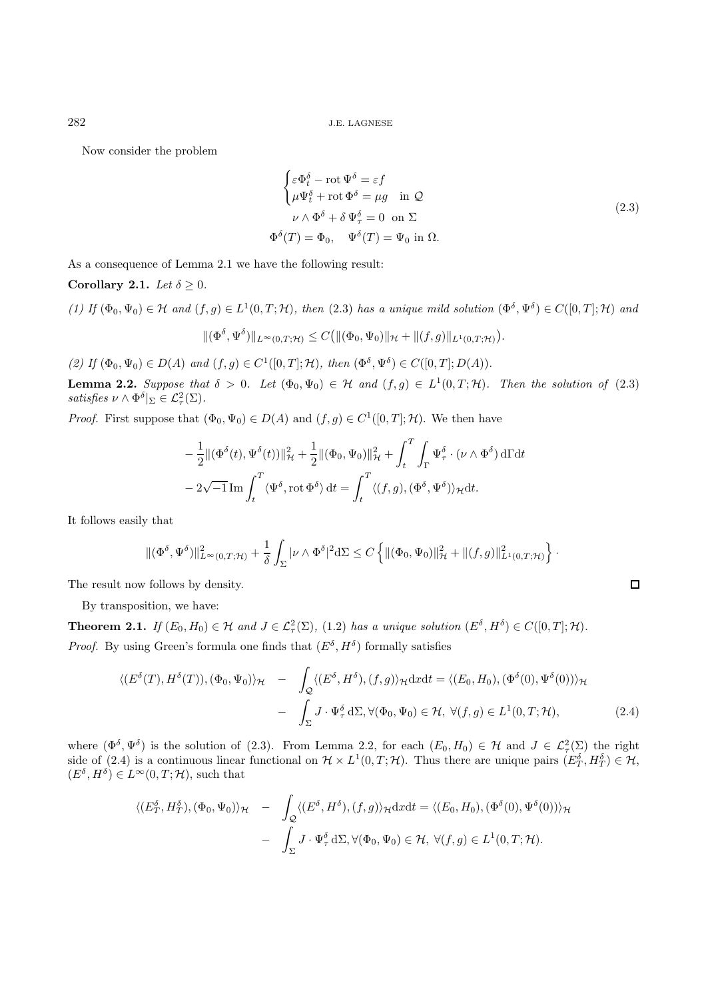Now consider the problem

$$
\begin{cases}\n\varepsilon \Phi_t^{\delta} - \text{rot } \Psi^{\delta} = \varepsilon f \\
\mu \Psi_t^{\delta} + \text{rot } \Phi^{\delta} = \mu g \quad \text{in } \mathcal{Q} \\
\nu \wedge \Phi^{\delta} + \delta \Psi_\tau^{\delta} = 0 \quad \text{on } \Sigma\n\end{cases}
$$
\n
$$
\Phi^{\delta}(T) = \Phi_0, \quad \Psi^{\delta}(T) = \Psi_0 \text{ in } \Omega.
$$
\n(2.3)

As a consequence of Lemma 2.1 we have the following result:

#### **Corollary 2.1.** Let  $\delta \geq 0$ .

(1) If 
$$
(\Phi_0, \Psi_0) \in \mathcal{H}
$$
 and  $(f, g) \in L^1(0, T; \mathcal{H})$ , then (2.3) has a unique mild solution  $(\Phi^\delta, \Psi^\delta) \in C([0, T]; \mathcal{H})$  and  

$$
\|(\Phi^\delta, \Psi^\delta)\|_{L^\infty(0, T; \mathcal{H})} \leq C\big(\|(\Phi_0, \Psi_0)\|_{\mathcal{H}} + \|(f, g)\|_{L^1(0, T; \mathcal{H})}\big).
$$

(2) If  $(\Phi_0, \Psi_0) \in D(A)$  and  $(f, g) \in C^1([0, T]; \mathcal{H})$ , then  $(\Phi^\delta, \Psi^\delta) \in C([0, T]; D(A))$ .

**Lemma 2.2.** Suppose that  $\delta > 0$ . Let  $(\Phi_0, \Psi_0) \in \mathcal{H}$  and  $(f, g) \in L^1(0, T; \mathcal{H})$ . Then the solution of (2.3) satisfies  $\nu \wedge \Phi^{\delta}|_{\Sigma} \in \mathcal{L}_{\tau}^{2}(\Sigma).$ 

*Proof.* First suppose that  $(\Phi_0, \Psi_0) \in D(A)$  and  $(f, g) \in C^1([0, T]; \mathcal{H})$ . We then have

$$
-\frac{1}{2} \| (\Phi^{\delta}(t), \Psi^{\delta}(t)) \|_{\mathcal{H}}^2 + \frac{1}{2} \| (\Phi_0, \Psi_0) \|_{\mathcal{H}}^2 + \int_t^T \int_{\Gamma} \Psi_\tau^{\delta} \cdot (\nu \wedge \Phi^\delta) d\Gamma dt
$$

$$
-2\sqrt{-1} \operatorname{Im} \int_t^T \langle \Psi_\tau^{\delta}, \operatorname{rot} \Phi^\delta \rangle dt = \int_t^T \langle (f, g), (\Phi^\delta, \Psi^\delta) \rangle_{\mathcal{H}} dt.
$$

It follows easily that

$$
\|(\Phi^{\delta},\Psi^{\delta})\|_{L^{\infty}(0,T;\mathcal{H})}^2 + \frac{1}{\delta}\int_{\Sigma}|\nu\wedge\Phi^{\delta}|^2 d\Sigma \leq C\left\{\|(\Phi_0,\Psi_0)\|_{\mathcal{H}}^2 + \|(f,g)\|_{L^1(0,T;\mathcal{H})}^2\right\}.
$$

The result now follows by density.

By transposition, we have:

**Theorem 2.1.** If  $(E_0, H_0) \in \mathcal{H}$  and  $J \in \mathcal{L}^2(\Sigma)$ , (1.2) has a unique solution  $(E^{\delta}, H^{\delta}) \in C([0, T]; \mathcal{H})$ . *Proof.* By using Green's formula one finds that  $(E^{\delta}, H^{\delta})$  formally satisfies

$$
\langle (E^{\delta}(T), H^{\delta}(T)), (\Phi_0, \Psi_0) \rangle_{\mathcal{H}} - \int_{\mathcal{Q}} \langle (E^{\delta}, H^{\delta}), (f, g) \rangle_{\mathcal{H}} \mathrm{d}x \mathrm{d}t = \langle (E_0, H_0), (\Phi^{\delta}(0), \Psi^{\delta}(0)) \rangle_{\mathcal{H}} - \int_{\Sigma} J \cdot \Psi_{\tau}^{\delta} \mathrm{d} \Sigma, \forall (\Phi_0, \Psi_0) \in \mathcal{H}, \ \forall (f, g) \in L^1(0, T; \mathcal{H}), \tag{2.4}
$$

where  $(\Phi^{\delta}, \Psi^{\delta})$  is the solution of (2.3). From Lemma 2.2, for each  $(E_0, H_0) \in \mathcal{H}$  and  $J \in \mathcal{L}^2_{\tau}(\Sigma)$  the right side of (2.4) is a continuous linear functional on  $\mathcal{H} \times L^1(0,T;\mathcal{H})$ . Thus there are unique pairs  $(E_T^{\delta}, H_T^{\delta}) \in \mathcal{H}$ ,  $(E^{\delta}, H^{\delta}) \in L^{\infty}(0,T; \mathcal{H})$ , such that

$$
\langle (E_T^{\delta}, H_T^{\delta}), (\Phi_0, \Psi_0) \rangle_{\mathcal{H}} - \int_{\mathcal{Q}} \langle (E^{\delta}, H^{\delta}), (f, g) \rangle_{\mathcal{H}} \mathrm{d}x \mathrm{d}t = \langle (E_0, H_0), (\Phi^{\delta}(0), \Psi^{\delta}(0)) \rangle_{\mathcal{H}} - \int_{\Sigma} J \cdot \Psi_{\tau}^{\delta} \mathrm{d} \Sigma, \forall (\Phi_0, \Psi_0) \in \mathcal{H}, \ \forall (f, g) \in L^1(0, T; \mathcal{H}).
$$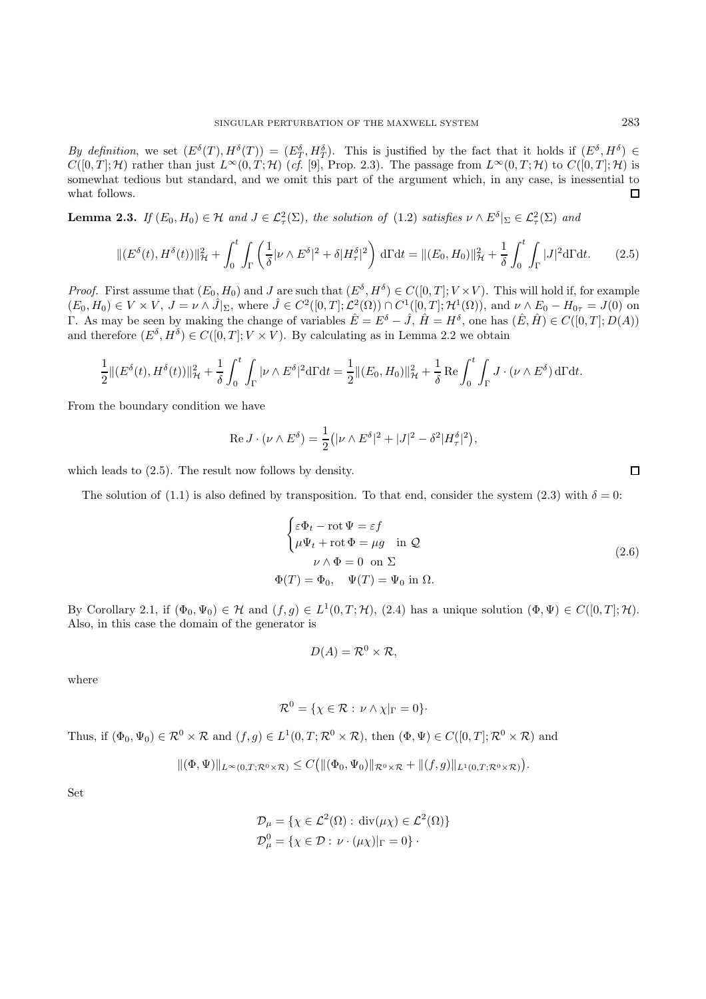By definition, we set  $(E^{\delta}(T), H^{\delta}(T)) = (E^{\delta}_T, H^{\delta}_T)$ . This is justified by the fact that it holds if  $(E^{\delta}, H^{\delta}) \in$  $C([0, T]; \mathcal{H})$  rather than just  $L^{\infty}(0, T; \mathcal{H})$  (cf. [9], Prop. 2.3). The passage from  $L^{\infty}(0, T; \mathcal{H})$  to  $C([0, T]; \mathcal{H})$  is somewhat tedious but standard, and we omit this part of the argument which, in any case, is inessential to what follows.  $\Box$ 

**Lemma 2.3.** If  $(E_0, H_0) \in \mathcal{H}$  and  $J \in \mathcal{L}^2(\Sigma)$ , the solution of  $(1.2)$  satisfies  $\nu \wedge E^{\delta}|_{\Sigma} \in \mathcal{L}^2(\Sigma)$  and

$$
\| (E^{\delta}(t), H^{\delta}(t)) \|_{\mathcal{H}}^2 + \int_0^t \int_{\Gamma} \left( \frac{1}{\delta} |\nu \wedge E^{\delta}|^2 + \delta |H^{\delta}_\tau|^2 \right) d\Gamma dt = \| (E_0, H_0) \|_{\mathcal{H}}^2 + \frac{1}{\delta} \int_0^t \int_{\Gamma} |J|^2 d\Gamma dt. \tag{2.5}
$$

*Proof.* First assume that  $(E_0, H_0)$  and J are such that  $(E^{\delta}, H^{\delta}) \in C([0, T]; V \times V)$ . This will hold if, for example  $(E_0, H_0) \in V \times V$ ,  $J = \nu \wedge \hat{J}|_{\Sigma}$ , where  $\hat{J} \in C^2([0, T]; \mathcal{L}^2(\Omega)) \cap C^1([0, T]; \mathcal{H}^1(\Omega))$ , and  $\nu \wedge E_0 - H_{0\tau} = J(0)$  on Γ. As may be seen by making the change of variables  $\hat{E} = E^{\delta} - \hat{J}$ ,  $\hat{H} = H^{\delta}$ , one has  $(\hat{E}, \hat{H}) \in C([0, T]; D(A))$ and therefore  $(E^{\delta}, H^{\delta}) \in C([0, T]; V \times V)$ . By calculating as in Lemma 2.2 we obtain

$$
\frac{1}{2} \|(E^{\delta}(t), H^{\delta}(t))\|_{\mathcal{H}}^{2} + \frac{1}{\delta} \int_{0}^{t} \int_{\Gamma} |\nu \wedge E^{\delta}|^{2} d\Gamma dt = \frac{1}{2} \|(E_{0}, H_{0})\|_{\mathcal{H}}^{2} + \frac{1}{\delta} \operatorname{Re} \int_{0}^{t} \int_{\Gamma} J \cdot (\nu \wedge E^{\delta}) d\Gamma dt.
$$

From the boundary condition we have

$$
\operatorname{Re} J \cdot (\nu \wedge E^{\delta}) = \frac{1}{2} (|\nu \wedge E^{\delta}|^{2} + |J|^{2} - \delta^{2} |H^{\delta}_{\tau}|^{2}),
$$

which leads to (2.5). The result now follows by density.

The solution of (1.1) is also defined by transposition. To that end, consider the system (2.3) with  $\delta = 0$ :

$$
\begin{cases}\n\varepsilon \Phi_t - \text{rot } \Psi = \varepsilon f \\
\mu \Psi_t + \text{rot } \Phi = \mu g \quad \text{in } \mathcal{Q} \\
\nu \wedge \Phi = 0 \quad \text{on } \Sigma\n\end{cases}
$$
\n
$$
\Phi(T) = \Phi_0, \quad \Psi(T) = \Psi_0 \text{ in } \Omega.
$$
\n(2.6)

By Corollary 2.1, if  $(\Phi_0, \Psi_0) \in \mathcal{H}$  and  $(f, g) \in L^1(0, T; \mathcal{H})$ ,  $(2.4)$  has a unique solution  $(\Phi, \Psi) \in C([0, T]; \mathcal{H})$ . Also, in this case the domain of the generator is

$$
D(A) = \mathcal{R}^0 \times \mathcal{R},
$$

where

$$
\mathcal{R}^0 = \{ \chi \in \mathcal{R} : \nu \wedge \chi|_{\Gamma} = 0 \}.
$$

Thus, if  $(\Phi_0, \Psi_0) \in \mathcal{R}^0 \times \mathcal{R}$  and  $(f, g) \in L^1(0, T; \mathcal{R}^0 \times \mathcal{R})$ , then  $(\Phi, \Psi) \in C([0, T]; \mathcal{R}^0 \times \mathcal{R})$  and

$$
\|(\Phi,\Psi)\|_{L^\infty(0,T;\mathcal{R}^0\times\mathcal{R})}\leq C\big(\|(\Phi_0,\Psi_0)\|_{\mathcal{R}^0\times\mathcal{R}}+\|(f,g)\|_{L^1(0,T;\mathcal{R}^0\times\mathcal{R})}\big).
$$

Set

$$
\mathcal{D}_{\mu} = \{ \chi \in \mathcal{L}^2(\Omega) : \operatorname{div}(\mu \chi) \in \mathcal{L}^2(\Omega) \}
$$
  

$$
\mathcal{D}_{\mu}^0 = \{ \chi \in \mathcal{D} : \nu \cdot (\mu \chi)|_{\Gamma} = 0 \}.
$$

 $\Box$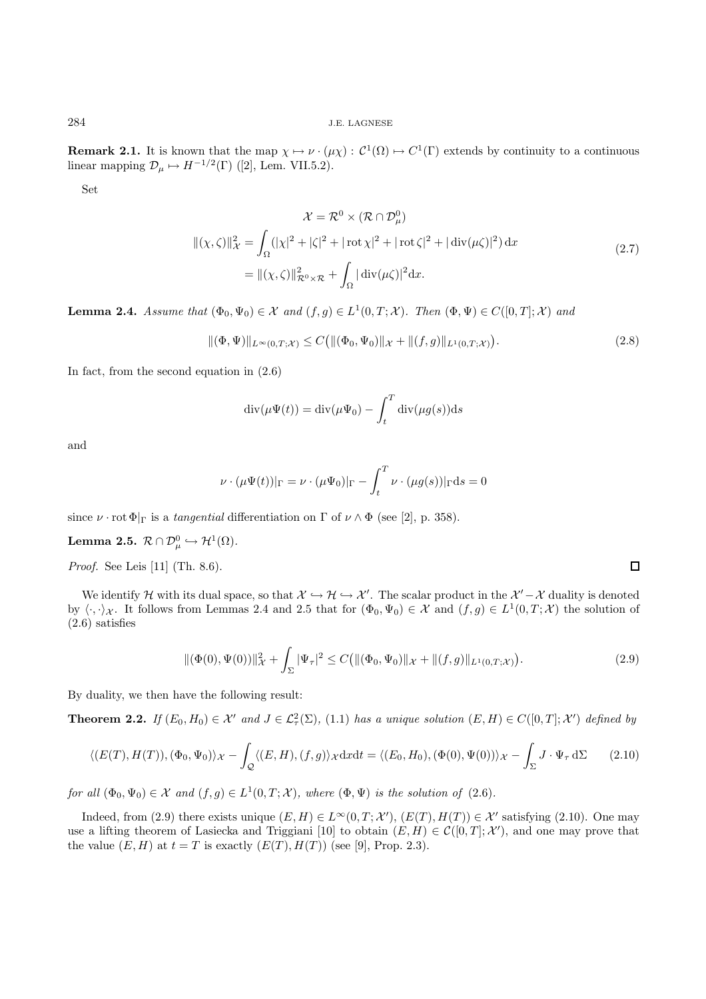**Remark 2.1.** It is known that the map  $\chi \mapsto \nu \cdot (\mu \chi) : C^1(\Omega) \mapsto C^1(\Gamma)$  extends by continuity to a continuous linear mapping  $\mathcal{D}_{\mu} \mapsto H^{-1/2}(\Gamma)$  ([2], Lem. VII.5.2).

Set

$$
\mathcal{X} = \mathcal{R}^0 \times (\mathcal{R} \cap \mathcal{D}^0_\mu)
$$
  

$$
\|(\chi,\zeta)\|^2_{\mathcal{X}} = \int_{\Omega} (|\chi|^2 + |\zeta|^2 + |\operatorname{rot}\chi|^2 + |\operatorname{rot}\zeta|^2 + |\operatorname{div}(\mu\zeta)|^2) \,dx
$$
  

$$
= \|(\chi,\zeta)\|^2_{\mathcal{R}^0 \times \mathcal{R}} + \int_{\Omega} |\operatorname{div}(\mu\zeta)|^2 \,dx.
$$
 (2.7)

**Lemma 2.4.** Assume that  $(\Phi_0, \Psi_0) \in \mathcal{X}$  and  $(f, g) \in L^1(0, T; \mathcal{X})$ . Then  $(\Phi, \Psi) \in C([0, T]; \mathcal{X})$  and

$$
\|(\Phi,\Psi)\|_{L^{\infty}(0,T;\mathcal{X})} \le C \big( \|(\Phi_0,\Psi_0)\|_{\mathcal{X}} + \|(f,g)\|_{L^1(0,T;\mathcal{X})} \big). \tag{2.8}
$$

In fact, from the second equation in (2.6)

$$
\operatorname{div}(\mu \Psi(t)) = \operatorname{div}(\mu \Psi_0) - \int_t^T \operatorname{div}(\mu g(s)) \mathrm{d} s
$$

and

$$
\nu \cdot (\mu \Psi(t))|_{\Gamma} = \nu \cdot (\mu \Psi_0)|_{\Gamma} - \int_t^T \nu \cdot (\mu g(s))|_{\Gamma} ds = 0
$$

since  $\nu \cdot \text{rot } \Phi|_{\Gamma}$  is a *tangential* differentiation on  $\Gamma$  of  $\nu \wedge \Phi$  (see [2], p. 358).

 $\textbf{Lemma 2.5.} \ \mathcal{R}\cap \mathcal{D}^0_\mu \hookrightarrow \mathcal{H}^1(\Omega).$ 

Proof. See Leis [11] (Th. 8.6).

We identify H with its dual space, so that  $\mathcal{X} \hookrightarrow \mathcal{H} \hookrightarrow \mathcal{X}'$ . The scalar product in the  $\mathcal{X}' - \mathcal{X}$  duality is denoted by  $\langle \cdot, \cdot \rangle_{\mathcal{X}}$ . It follows from Lemmas 2.4 and 2.5 that for  $(\Phi_0, \Psi_0) \in \mathcal{X}$  and  $(f, g) \in L^1(0, T; \mathcal{X})$  the solution of (2.6) satisfies

$$
\|(\Phi(0), \Psi(0))\|_{\mathcal{X}}^2 + \int_{\Sigma} |\Psi_{\tau}|^2 \le C \big( \|(\Phi_0, \Psi_0)\|_{\mathcal{X}} + \|(f, g)\|_{L^1(0, T; \mathcal{X})} \big). \tag{2.9}
$$

By duality, we then have the following result:

**Theorem 2.2.** If  $(E_0, H_0) \in \mathcal{X}'$  and  $J \in \mathcal{L}^2(\Sigma)$ , (1.1) has a unique solution  $(E, H) \in C([0, T]; \mathcal{X}')$  defined by

$$
\langle (E(T), H(T)), (\Phi_0, \Psi_0) \rangle_{\mathcal{X}} - \int_{\mathcal{Q}} \langle (E, H), (f, g) \rangle_{\mathcal{X}} \mathrm{d}x \mathrm{d}t = \langle (E_0, H_0), (\Phi(0), \Psi(0)) \rangle_{\mathcal{X}} - \int_{\Sigma} J \cdot \Psi_{\tau} \, \mathrm{d} \Sigma \qquad (2.10)
$$

for all  $(\Phi_0, \Psi_0) \in \mathcal{X}$  and  $(f, g) \in L^1(0, T; \mathcal{X})$ , where  $(\Phi, \Psi)$  is the solution of  $(2.6)$ .

Indeed, from (2.9) there exists unique  $(E, H) \in L^{\infty}(0,T; \mathcal{X}')$ ,  $(E(T), H(T)) \in \mathcal{X}'$  satisfying (2.10). One may use a lifting theorem of Lasiecka and Triggiani [10] to obtain  $(E, H) \in \mathcal{C}([0, T]; \mathcal{X}')$ , and one may prove that the value  $(E, H)$  at  $t = T$  is exactly  $(E(T), H(T))$  (see [9], Prop. 2.3).

 $\Box$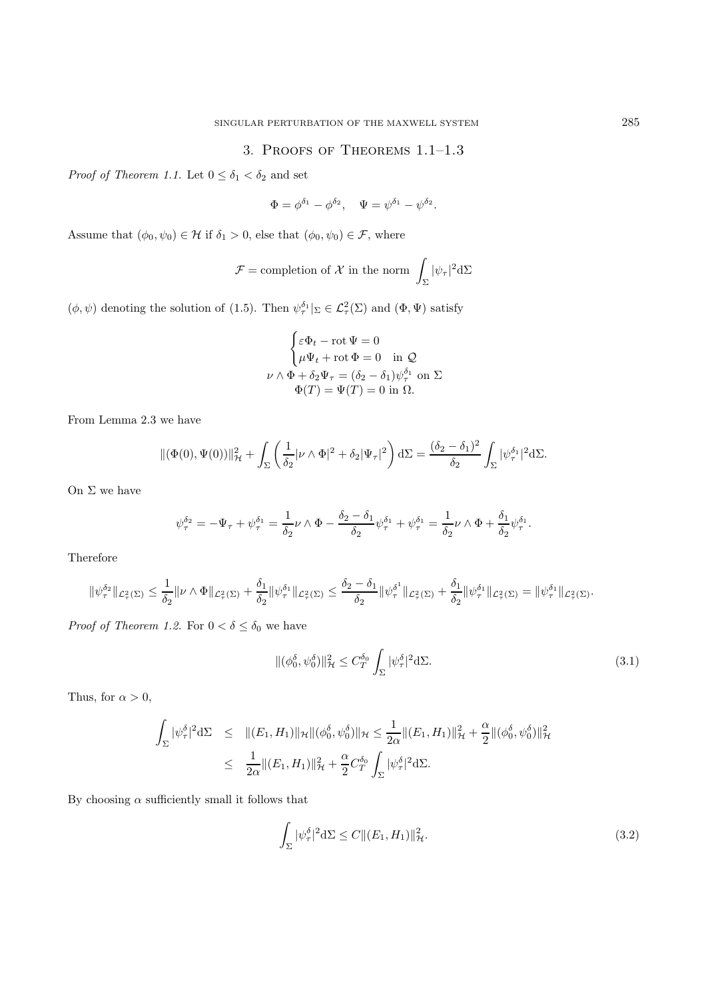## 3. Proofs of Theorems 1.1–1.3

*Proof of Theorem 1.1.* Let  $0 \le \delta_1 < \delta_2$  and set

 $\Phi = \phi^{\delta_1} - \phi^{\delta_2}, \quad \Psi = \psi^{\delta_1} - \psi^{\delta_2}.$ 

Assume that  $(\phi_0, \psi_0) \in \mathcal{H}$  if  $\delta_1 > 0$ , else that  $(\phi_0, \psi_0) \in \mathcal{F}$ , where

$$
\mathcal{F} = \text{completion of } \mathcal{X} \text{ in the norm } \int_{\Sigma} |\psi_{\tau}|^2 d\Sigma
$$

 $(\phi, \psi)$  denoting the solution of (1.5). Then  $\psi_{\tau}^{\delta_1}|_{\Sigma} \in \mathcal{L}^2_{\tau}(\Sigma)$  and  $(\Phi, \Psi)$  satisfy

$$
\begin{cases} \varepsilon \Phi_t - \operatorname{rot} \Psi = 0 \\ \mu \Psi_t + \operatorname{rot} \Phi = 0 \quad \text{in } \mathcal{Q} \end{cases}
$$
  

$$
\nu \wedge \Phi + \delta_2 \Psi_\tau = (\delta_2 - \delta_1) \psi_\tau^{\delta_1} \text{ on } \Sigma
$$
  

$$
\Phi(T) = \Psi(T) = 0 \text{ in } \Omega.
$$

From Lemma 2.3 we have

$$
\|(\Phi(0),\Psi(0))\|_{\mathcal{H}}^2 + \int_{\Sigma} \left(\frac{1}{\delta_2}|\nu \wedge \Phi|^2 + \delta_2 |\Psi_{\tau}|^2\right) d\Sigma = \frac{(\delta_2 - \delta_1)^2}{\delta_2} \int_{\Sigma} |\psi_{\tau}^{\delta_1}|^2 d\Sigma.
$$

On  $\Sigma$  we have

$$
\psi^{\delta_2}_\tau=-\Psi_\tau+\psi^{\delta_1}_\tau=\frac{1}{\delta_2}\nu\wedge\Phi-\frac{\delta_2-\delta_1}{\delta_2}\psi^{\delta_1}_\tau+\psi^{\delta_1}_\tau=\frac{1}{\delta_2}\nu\wedge\Phi+\frac{\delta_1}{\delta_2}\psi^{\delta_1}_\tau.
$$

Therefore

$$
\|\psi^{\delta_2}_\tau\|_{\mathcal{L}^2_\tau(\Sigma)} \leq \frac{1}{\delta_2} \|\nu\wedge\Phi\|_{\mathcal{L}^2_\tau(\Sigma)} + \frac{\delta_1}{\delta_2} \|\psi^{\delta_1}_\tau\|_{\mathcal{L}^2_\tau(\Sigma)} \leq \frac{\delta_2-\delta_1}{\delta_2} \|\psi^{\delta^1}_\tau\|_{\mathcal{L}^2_\tau(\Sigma)} + \frac{\delta_1}{\delta_2} \|\psi^{\delta_1}_\tau\|_{\mathcal{L}^2_\tau(\Sigma)} = \|\psi^{\delta_1}_\tau\|_{\mathcal{L}^2_\tau(\Sigma)}.
$$

*Proof of Theorem 1.2.* For  $0 < \delta \leq \delta_0$  we have

$$
\|(\phi_0^\delta, \psi_0^\delta)\|_{\mathcal{H}}^2 \le C_T^{\delta_0} \int_{\Sigma} |\psi_\tau^\delta|^2 d\Sigma. \tag{3.1}
$$

Thus, for  $\alpha > 0$ ,

$$
\int_{\Sigma} |\psi_{\tau}^{\delta}|^2 d\Sigma \leq \| (E_1, H_1) \|_{\mathcal{H}} \| (\phi_0^{\delta}, \psi_0^{\delta}) \|_{\mathcal{H}} \leq \frac{1}{2\alpha} \| (E_1, H_1) \|_{\mathcal{H}}^2 + \frac{\alpha}{2} \| (\phi_0^{\delta}, \psi_0^{\delta}) \|_{\mathcal{H}}^2
$$
  

$$
\leq \frac{1}{2\alpha} \| (E_1, H_1) \|_{\mathcal{H}}^2 + \frac{\alpha}{2} C_T^{\delta_0} \int_{\Sigma} |\psi_{\tau}^{\delta}|^2 d\Sigma.
$$

By choosing  $\alpha$  sufficiently small it follows that

$$
\int_{\Sigma} |\psi_{\tau}^{\delta}|^2 d\Sigma \le C \| (E_1, H_1) \|_{\mathcal{H}}^2.
$$
\n(3.2)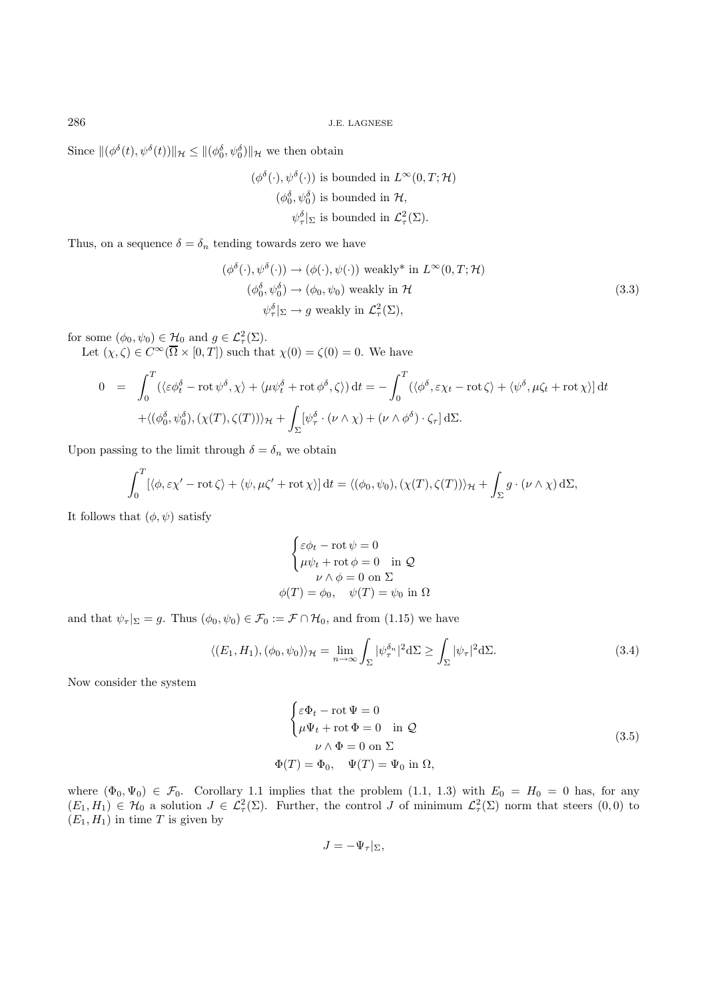286 J.E. LAGNESE

Since  $\|(\phi^{\delta}(t), \psi^{\delta}(t))\|_{\mathcal{H}} \leq \|(\phi_0^{\delta}, \psi_0^{\delta})\|_{\mathcal{H}}$  we then obtain

$$
(\phi^{\delta}(\cdot), \psi^{\delta}(\cdot))
$$
 is bounded in  $L^{\infty}(0, T; \mathcal{H})$   
\n $(\phi_0^{\delta}, \psi_0^{\delta})$  is bounded in  $\mathcal{H}$ ,  
\n $\psi_{\tau}^{\delta}|_{\Sigma}$  is bounded in  $\mathcal{L}_{\tau}^2(\Sigma)$ .

Thus, on a sequence  $\delta = \delta_n$  tending towards zero we have

$$
(\phi^{\delta}(\cdot), \psi^{\delta}(\cdot)) \to (\phi(\cdot), \psi(\cdot)) \text{ weakly* in } L^{\infty}(0, T; \mathcal{H})
$$
  
\n
$$
(\phi_0^{\delta}, \psi_0^{\delta}) \to (\phi_0, \psi_0) \text{ weakly in } \mathcal{H}
$$
  
\n
$$
\psi_{\tau}^{\delta} |_{\Sigma} \to g \text{ weakly in } \mathcal{L}_{\tau}^2(\Sigma),
$$
\n(3.3)

for some  $(\phi_0, \psi_0) \in \mathcal{H}_0$  and  $g \in \mathcal{L}^2(\Sigma)$ .

Let  $(\chi, \zeta) \in C^{\infty}(\Omega \times [0, T])$  such that  $\chi(0) = \zeta(0) = 0$ . We have

$$
0 = \int_0^T (\langle \varepsilon \phi_t^{\delta} - \mathrm{rot} \, \psi^{\delta}, \chi \rangle + \langle \mu \psi_t^{\delta} + \mathrm{rot} \, \phi^{\delta}, \zeta \rangle) \, \mathrm{d}t = -\int_0^T (\langle \phi_t^{\delta}, \varepsilon \chi_t - \mathrm{rot} \, \zeta \rangle + \langle \psi_t^{\delta}, \mu \zeta_t + \mathrm{rot} \, \chi \rangle] \, \mathrm{d}t
$$

$$
+ \langle (\phi_0^{\delta}, \psi_0^{\delta}), (\chi(T), \zeta(T)) \rangle_{\mathcal{H}} + \int_{\Sigma} [\psi_\tau^{\delta} \cdot (\nu \wedge \chi) + (\nu \wedge \phi^{\delta}) \cdot \zeta_\tau] \, \mathrm{d}\Sigma.
$$

Upon passing to the limit through  $\delta = \delta_n$  we obtain

$$
\int_0^T [\langle \phi, \varepsilon \chi' - \mathrm{rot} \zeta \rangle + \langle \psi, \mu \zeta' + \mathrm{rot} \chi \rangle] dt = \langle (\phi_0, \psi_0), (\chi(T), \zeta(T)) \rangle_H + \int_{\Sigma} g \cdot (\nu \wedge \chi) d\Sigma,
$$

It follows that  $(\phi, \psi)$  satisfy

$$
\begin{cases} \varepsilon \phi_t - \text{rot } \psi = 0 \\ \mu \psi_t + \text{rot } \phi = 0 \quad \text{in } \mathcal{Q} \end{cases}
$$

$$
\begin{aligned} \nu \wedge \phi = 0 \text{ on } \Sigma \\ \phi(T) = \phi_0, \quad \psi(T) = \psi_0 \text{ in } \Omega \end{aligned}
$$

and that  $\psi_{\tau}|_{\Sigma} = g$ . Thus  $(\phi_0, \psi_0) \in \mathcal{F}_0 := \mathcal{F} \cap \mathcal{H}_0$ , and from (1.15) we have

$$
\langle (E_1, H_1), (\phi_0, \psi_0) \rangle_{\mathcal{H}} = \lim_{n \to \infty} \int_{\Sigma} |\psi_{\tau}^{\delta_n}|^2 d\Sigma \ge \int_{\Sigma} |\psi_{\tau}|^2 d\Sigma. \tag{3.4}
$$

Now consider the system

$$
\begin{cases}\n\varepsilon \Phi_t - \text{rot } \Psi = 0 \\
\mu \Psi_t + \text{rot } \Phi = 0 \quad \text{in } \mathcal{Q} \\
\nu \wedge \Phi = 0 \text{ on } \Sigma\n\end{cases}
$$
\n
$$
\Phi(T) = \Phi_0, \quad \Psi(T) = \Psi_0 \text{ in } \Omega,
$$
\n(3.5)

where  $(\Phi_0, \Psi_0) \in \mathcal{F}_0$ . Corollary 1.1 implies that the problem  $(1.1, 1.3)$  with  $E_0 = H_0 = 0$  has, for any  $(E_1, H_1) \in \mathcal{H}_0$  a solution  $J \in \mathcal{L}^2_\tau(\Sigma)$ . Further, the control J of minimum  $\mathcal{L}^2_\tau(\Sigma)$  norm that steers  $(0,0)$  to  $(E_1, H_1)$  in time T is given by

$$
J=-\Psi_{\tau}|_{\Sigma},
$$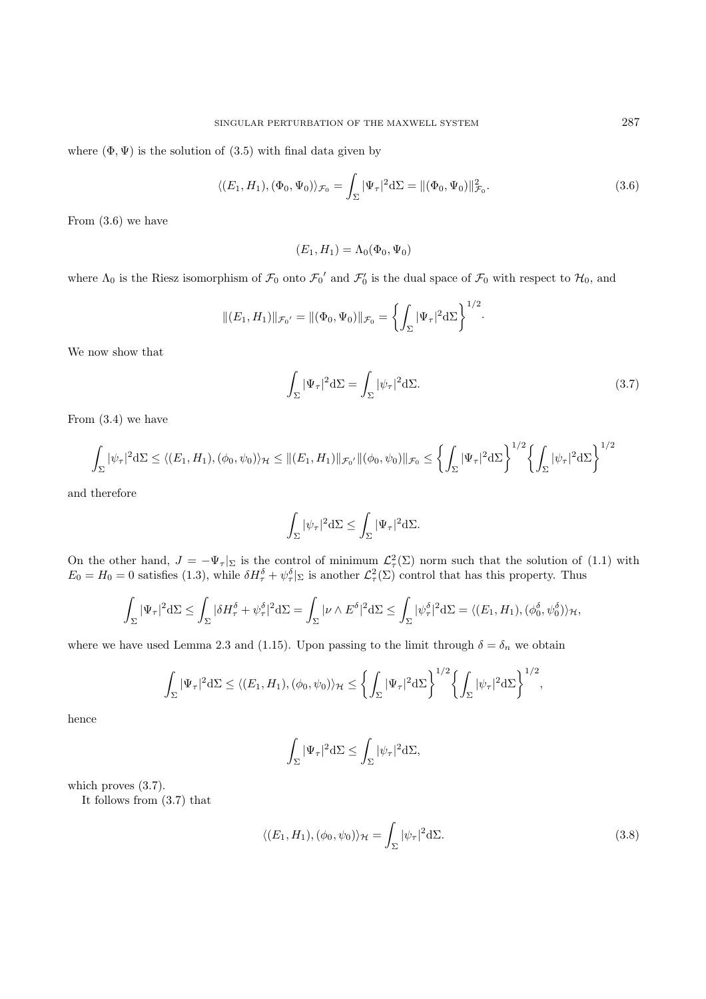where  $(\Phi, \Psi)$  is the solution of  $(3.5)$  with final data given by

$$
\langle (E_1, H_1), (\Phi_0, \Psi_0) \rangle_{\mathcal{F}_0} = \int_{\Sigma} |\Psi_{\tau}|^2 d\Sigma = \| (\Phi_0, \Psi_0) \|_{\mathcal{F}_0}^2.
$$
 (3.6)

From (3.6) we have

$$
(E_1, H_1) = \Lambda_0(\Phi_0, \Psi_0)
$$

where  $\Lambda_0$  is the Riesz isomorphism of  $\mathcal{F}_0$  onto  $\mathcal{F}_0'$  and  $\mathcal{F}_0'$  is the dual space of  $\mathcal{F}_0$  with respect to  $\mathcal{H}_0$ , and

$$
\|(E_1, H_1)\|_{\mathcal{F}_0'} = \|(\Phi_0, \Psi_0)\|_{\mathcal{F}_0} = \left\{ \int_{\Sigma} |\Psi_{\tau}|^2 d\Sigma \right\}^{1/2}
$$

We now show that

$$
\int_{\Sigma} |\Psi_{\tau}|^2 d\Sigma = \int_{\Sigma} |\psi_{\tau}|^2 d\Sigma.
$$
\n(3.7)

·

From (3.4) we have

$$
\int_{\Sigma} |\psi_{\tau}|^2 d\Sigma \le \langle (E_1, H_1), (\phi_0, \psi_0) \rangle_{\mathcal{H}} \le \|(E_1, H_1)\|_{\mathcal{F}_0} \cdot \|(\phi_0, \psi_0)\|_{\mathcal{F}_0} \le \left\{ \int_{\Sigma} |\Psi_{\tau}|^2 d\Sigma \right\}^{1/2} \left\{ \int_{\Sigma} |\psi_{\tau}|^2 d\Sigma \right\}^{1/2}
$$

and therefore

$$
\int_{\Sigma} |\psi_{\tau}|^2 d\Sigma \leq \int_{\Sigma} |\Psi_{\tau}|^2 d\Sigma.
$$

On the other hand,  $J = -\Psi_{\tau}|_{\Sigma}$  is the control of minimum  $\mathcal{L}^2_{\tau}(\Sigma)$  norm such that the solution of (1.1) with  $E_0 = H_0 = 0$  satisfies (1.3), while  $\delta H_\tau^\delta + \psi_\tau^\delta|_{\Sigma}$  is another  $\mathcal{L}_\tau^2(\Sigma)$  control that has this property. Thus

$$
\int_{\Sigma} |\Psi_{\tau}|^{2} d\Sigma \leq \int_{\Sigma} |\delta H^{\delta}_{\tau} + \psi^{\delta}_{\tau}|^{2} d\Sigma = \int_{\Sigma} |\nu \wedge E^{\delta}|^{2} d\Sigma \leq \int_{\Sigma} |\psi^{\delta}_{\tau}|^{2} d\Sigma = \langle (E_{1}, H_{1}), (\phi^{\delta}_{0}, \psi^{\delta}_{0}) \rangle_{\mathcal{H}},
$$

where we have used Lemma 2.3 and (1.15). Upon passing to the limit through  $\delta = \delta_n$  we obtain

$$
\int_{\Sigma} |\Psi_{\tau}|^2 d\Sigma \le \langle (E_1, H_1), (\phi_0, \psi_0) \rangle_{\mathcal{H}} \le \left\{ \int_{\Sigma} |\Psi_{\tau}|^2 d\Sigma \right\}^{1/2} \left\{ \int_{\Sigma} |\psi_{\tau}|^2 d\Sigma \right\}^{1/2},
$$

hence

$$
\int_{\Sigma} |\Psi_{\tau}|^2 d\Sigma \le \int_{\Sigma} |\psi_{\tau}|^2 d\Sigma,
$$

which proves  $(3.7)$ .

It follows from (3.7) that

$$
\langle (E_1, H_1), (\phi_0, \psi_0) \rangle_{\mathcal{H}} = \int_{\Sigma} |\psi_{\tau}|^2 d\Sigma.
$$
 (3.8)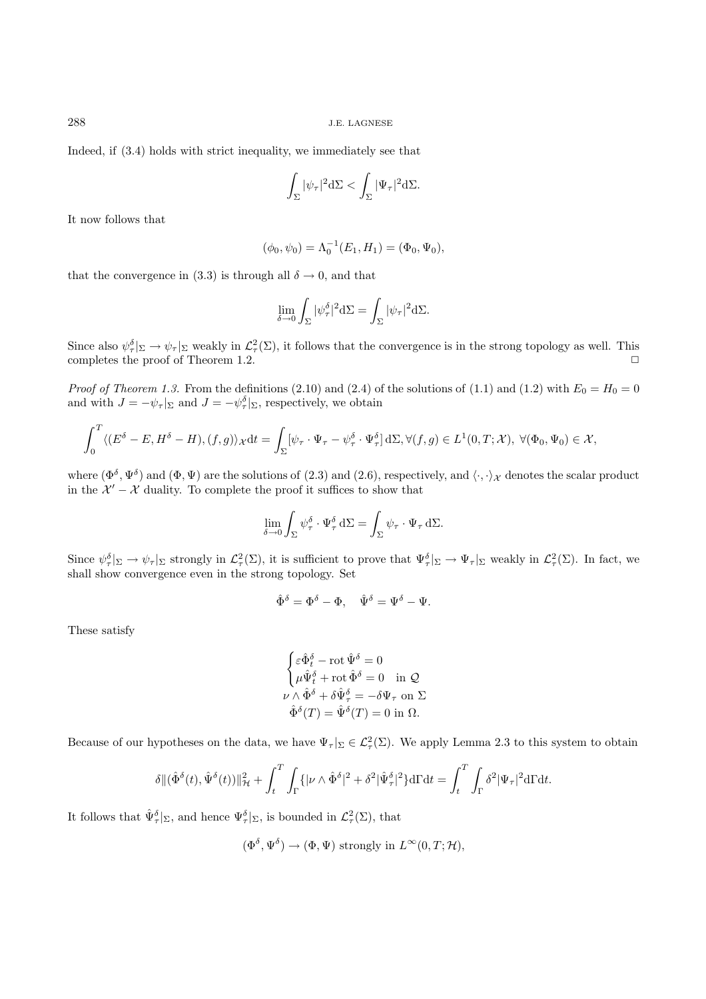288 J.E. LAGNESE

Indeed, if (3.4) holds with strict inequality, we immediately see that

$$
\int_{\Sigma} |\psi_{\tau}|^2 d\Sigma < \int_{\Sigma} |\Psi_{\tau}|^2 d\Sigma.
$$

It now follows that

$$
(\phi_0, \psi_0) = \Lambda_0^{-1}(E_1, H_1) = (\Phi_0, \Psi_0),
$$

that the convergence in (3.3) is through all  $\delta \rightarrow 0$ , and that

$$
\lim_{\delta \to 0} \int_{\Sigma} |\psi_{\tau}^{\delta}|^2 d\Sigma = \int_{\Sigma} |\psi_{\tau}|^2 d\Sigma.
$$

Since also  $\psi_{\tau}^{\delta}|_{\Sigma} \to \psi_{\tau}|_{\Sigma}$  weakly in  $\mathcal{L}_{\tau}^2(\Sigma)$ , it follows that the convergence is in the strong topology as well. This completes the proof of Theorem 1.2.  $\Box$ 

*Proof of Theorem 1.3.* From the definitions (2.10) and (2.4) of the solutions of (1.1) and (1.2) with  $E_0 = H_0 = 0$ and with  $J = -\psi_{\tau}|_{\Sigma}$  and  $J = -\psi_{\tau}^{\delta}|_{\Sigma}$ , respectively, we obtain

$$
\int_0^T \langle (E^{\delta} - E, H^{\delta} - H), (f, g) \rangle_{\mathcal{X}} dt = \int_{\Sigma} [\psi_{\tau} \cdot \Psi_{\tau} - \psi_{\tau}^{\delta} \cdot \Psi_{\tau}^{\delta}] d\Sigma, \forall (f, g) \in L^1(0, T; \mathcal{X}), \ \forall (\Phi_0, \Psi_0) \in \mathcal{X},
$$

where  $(\Phi^{\delta}, \Psi^{\delta})$  and  $(\Phi, \Psi)$  are the solutions of (2.3) and (2.6), respectively, and  $\langle \cdot, \cdot \rangle_{\mathcal{X}}$  denotes the scalar product in the  $\mathcal{X}' - \mathcal{X}$  duality. To complete the proof it suffices to show that

$$
\lim_{\delta \to 0} \int_{\Sigma} \psi_{\tau}^{\delta} \cdot \Psi_{\tau}^{\delta} d\Sigma = \int_{\Sigma} \psi_{\tau} \cdot \Psi_{\tau} d\Sigma.
$$

Since  $\psi_{\tau}^{\delta}|_{\Sigma} \to \psi_{\tau}|_{\Sigma}$  strongly in  $\mathcal{L}_{\tau}^{2}(\Sigma)$ , it is sufficient to prove that  $\Psi_{\tau}^{\delta}|_{\Sigma} \to \Psi_{\tau}|_{\Sigma}$  weakly in  $\mathcal{L}_{\tau}^{2}(\Sigma)$ . In fact, we shall show convergence even in the strong topology. Set

$$
\hat\Phi^\delta=\Phi^\delta-\Phi,\quad \hat\Psi^\delta=\Psi^\delta-\Psi.
$$

These satisfy

$$
\begin{cases} \varepsilon \hat{\Phi}_t^\delta - \mathrm{rot} \, \hat{\Psi}^\delta = 0 \\ \mu \hat{\Psi}_t^\delta + \mathrm{rot} \, \hat{\Phi}^\delta = 0 \quad \text{in } \mathcal{Q} \end{cases}
$$
  

$$
\nu \wedge \hat{\Phi}^\delta + \delta \hat{\Psi}_\tau^\delta = -\delta \Psi_\tau \text{ on } \Sigma
$$
  

$$
\hat{\Phi}^\delta(T) = \hat{\Psi}^\delta(T) = 0 \text{ in } \Omega.
$$

Because of our hypotheses on the data, we have  $\Psi_{\tau}|_{\Sigma} \in \mathcal{L}^2_{\tau}(\Sigma)$ . We apply Lemma 2.3 to this system to obtain

$$
\delta \| (\hat{\Phi}^{\delta}(t), \hat{\Psi}^{\delta}(t)) \|_{\mathcal{H}}^2 + \int_t^T \int_{\Gamma} \{ |\nu \wedge \hat{\Phi}^{\delta}|^2 + \delta^2 |\hat{\Psi}^{\delta}_{\tau}|^2 \} d\Gamma dt = \int_t^T \int_{\Gamma} \delta^2 |\Psi_{\tau}|^2 d\Gamma dt.
$$

It follows that  $\hat{\Psi}_{\tau}^{\delta} |_{\Sigma}$ , and hence  $\Psi_{\tau}^{\delta} |_{\Sigma}$ , is bounded in  $\mathcal{L}_{\tau}^2(\Sigma)$ , that

$$
(\Phi^{\delta}, \Psi^{\delta}) \to (\Phi, \Psi)
$$
 strongly in  $L^{\infty}(0, T; \mathcal{H}),$